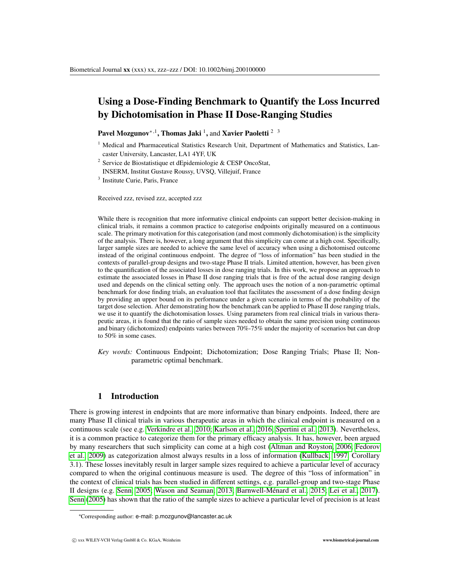# Using a Dose-Finding Benchmark to Quantify the Loss Incurred by Dichotomisation in Phase II Dose-Ranging Studies

# Pavel Mozgunov $^{*,1}$ , Thomas Jaki  $^1$ , and Xavier Paoletti  $^{2-3}$

- <sup>1</sup> Medical and Pharmaceutical Statistics Research Unit, Department of Mathematics and Statistics, Lancaster University, Lancaster, LA1 4YF, UK
- <sup>2</sup> Service de Biostatistique et dEpidemiologie & CESP OncoStat,
- INSERM, Institut Gustave Roussy, UVSQ, Villejuif, France

3 Institute Curie, Paris, France

Received zzz, revised zzz, accepted zzz

While there is recognition that more informative clinical endpoints can support better decision-making in clinical trials, it remains a common practice to categorise endpoints originally measured on a continuous scale. The primary motivation for this categorisation (and most commonly dichotomisation) is the simplicity of the analysis. There is, however, a long argument that this simplicity can come at a high cost. Specifically, larger sample sizes are needed to achieve the same level of accuracy when using a dichotomised outcome instead of the original continuous endpoint. The degree of "loss of information" has been studied in the contexts of parallel-group designs and two-stage Phase II trials. Limited attention, however, has been given to the quantification of the associated losses in dose ranging trials. In this work, we propose an approach to estimate the associated losses in Phase II dose ranging trials that is free of the actual dose ranging design used and depends on the clinical setting only. The approach uses the notion of a non-parametric optimal benchmark for dose finding trials, an evaluation tool that facilitates the assessment of a dose finding design by providing an upper bound on its performance under a given scenario in terms of the probability of the target dose selection. After demonstrating how the benchmark can be applied to Phase II dose ranging trials, we use it to quantify the dichotomisation losses. Using parameters from real clinical trials in various therapeutic areas, it is found that the ratio of sample sizes needed to obtain the same precision using continuous and binary (dichotomized) endpoints varies between 70%-75% under the majority of scenarios but can drop to 50% in some cases.

*Key words:* Continuous Endpoint; Dichotomization; Dose Ranging Trials; Phase II; Nonparametric optimal benchmark.

## 1 Introduction

There is growing interest in endpoints that are more informative than binary endpoints. Indeed, there are many Phase II clinical trials in various therapeutic areas in which the clinical endpoint is measured on a continuous scale (see e.g. [Verkindre et al., 2010;](#page-13-0) [Karlson et al., 2016;](#page-13-1) [Spertini et al., 2013\)](#page-13-2). Nevertheless, it is a common practice to categorize them for the primary efficacy analysis. It has, however, been argued by many researchers that such simplicity can come at a high cost [\(Altman and Royston, 2006;](#page-13-3) [Fedorov](#page-13-4) [et al., 2009\)](#page-13-4) as categorization almost always results in a loss of information [\(Kullback, 1997,](#page-13-5) Corollary 3.1). These losses inevitably result in larger sample sizes required to achieve a particular level of accuracy compared to when the original continuous measure is used. The degree of this "loss of information" in the context of clinical trials has been studied in different settings, e.g. parallel-group and two-stage Phase II designs (e.g. [Senn, 2005;](#page-13-6) [Wason and Seaman, 2013;](#page-14-0) [Barnwell-Menard et al., 2015;](#page-13-7) [Lei et al., 2017\)](#page-13-8). ´ [Senn](#page-13-6) [\(2005\)](#page-13-6) has shown that the ratio of the sample sizes to achieve a particular level of precision is at least

<sup>∗</sup>Corresponding author: e-mail: p.mozgunov@lancaster.ac.uk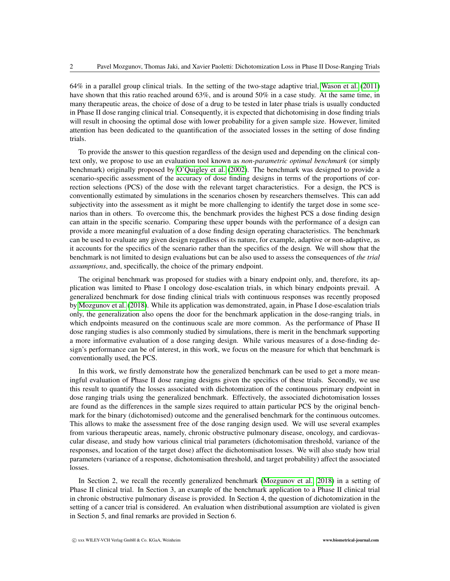64% in a parallel group clinical trials. In the setting of the two-stage adaptive trial, [Wason et al.](#page-13-9) [\(2011\)](#page-13-9) have shown that this ratio reached around 63%, and is around 50% in a case study. At the same time, in many therapeutic areas, the choice of dose of a drug to be tested in later phase trials is usually conducted in Phase II dose ranging clinical trial. Consequently, it is expected that dichotomising in dose finding trials will result in choosing the optimal dose with lower probability for a given sample size. However, limited attention has been dedicated to the quantification of the associated losses in the setting of dose finding trials.

To provide the answer to this question regardless of the design used and depending on the clinical context only, we propose to use an evaluation tool known as *non-parametric optimal benchmark* (or simply benchmark) originally proposed by [O'Quigley et al.](#page-13-10) [\(2002\)](#page-13-10). The benchmark was designed to provide a scenario-specific assessment of the accuracy of dose finding designs in terms of the proportions of correction selections (PCS) of the dose with the relevant target characteristics. For a design, the PCS is conventionally estimated by simulations in the scenarios chosen by researchers themselves. This can add subjectivity into the assessment as it might be more challenging to identify the target dose in some scenarios than in others. To overcome this, the benchmark provides the highest PCS a dose finding design can attain in the specific scenario. Comparing these upper bounds with the performance of a design can provide a more meaningful evaluation of a dose finding design operating characteristics. The benchmark can be used to evaluate any given design regardless of its nature, for example, adaptive or non-adaptive, as it accounts for the specifics of the scenario rather than the specifics of the design. We will show that the benchmark is not limited to design evaluations but can be also used to assess the consequences of *the trial assumptions*, and, specifically, the choice of the primary endpoint.

The original benchmark was proposed for studies with a binary endpoint only, and, therefore, its application was limited to Phase I oncology dose-escalation trials, in which binary endpoints prevail. A generalized benchmark for dose finding clinical trials with continuous responses was recently proposed by [Mozgunov et al.](#page-13-11) [\(2018\)](#page-13-11). While its application was demonstrated, again, in Phase I dose-escalation trials only, the generalization also opens the door for the benchmark application in the dose-ranging trials, in which endpoints measured on the continuous scale are more common. As the performance of Phase II dose ranging studies is also commonly studied by simulations, there is merit in the benchmark supporting a more informative evaluation of a dose ranging design. While various measures of a dose-finding design's performance can be of interest, in this work, we focus on the measure for which that benchmark is conventionally used, the PCS.

In this work, we firstly demonstrate how the generalized benchmark can be used to get a more meaningful evaluation of Phase II dose ranging designs given the specifics of these trials. Secondly, we use this result to quantify the losses associated with dichotomization of the continuous primary endpoint in dose ranging trials using the generalized benchmark. Effectively, the associated dichotomisation losses are found as the differences in the sample sizes required to attain particular PCS by the original benchmark for the binary (dichotomised) outcome and the generalised benchmark for the continuous outcomes. This allows to make the assessment free of the dose ranging design used. We will use several examples from various therapeutic areas, namely, chronic obstructive pulmonary disease, oncology, and cardiovascular disease, and study how various clinical trial parameters (dichotomisation threshold, variance of the responses, and location of the target dose) affect the dichotomisation losses. We will also study how trial parameters (variance of a response, dichotomisation threshold, and target probability) affect the associated losses.

In Section 2, we recall the recently generalized benchmark [\(Mozgunov et al., 2018\)](#page-13-11) in a setting of Phase II clinical trial. In Section 3, an example of the benchmark application to a Phase II clinical trial in chronic obstructive pulmonary disease is provided. In Section 4, the question of dichotomization in the setting of a cancer trial is considered. An evaluation when distributional assumption are violated is given in Section 5, and final remarks are provided in Section 6.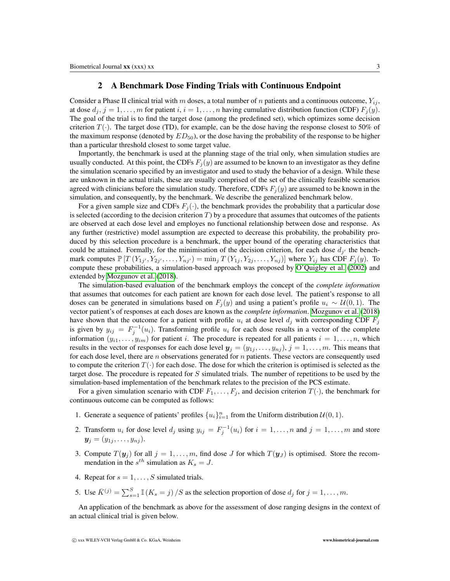# 2 A Benchmark Dose Finding Trials with Continuous Endpoint

Consider a Phase II clinical trial with m doses, a total number of n patients and a continuous outcome,  $Y_{ij}$ , at dose  $d_j$ ,  $j = 1, \ldots, m$  for patient  $i, i = 1, \ldots, n$  having cumulative distribution function (CDF)  $F_j(y)$ . The goal of the trial is to find the target dose (among the predefined set), which optimizes some decision criterion  $T(\cdot)$ . The target dose (TD), for example, can be the dose having the response closest to 50% of the maximum response (denoted by  $ED_{50}$ ), or the dose having the probability of the response to be higher than a particular threshold closest to some target value.

Importantly, the benchmark is used at the planning stage of the trial only, when simulation studies are usually conducted. At this point, the CDFs  $F_i(y)$  are assumed to be known to an investigator as they define the simulation scenario specified by an investigator and used to study the behavior of a design. While these are unknown in the actual trials, these are usually comprised of the set of the clinically feasible scenarios agreed with clinicians before the simulation study. Therefore, CDFs  $F_i(y)$  are assumed to be known in the simulation, and consequently, by the benchmark. We describe the generalized benchmark below.

For a given sample size and CDFs  $F_i(\cdot)$ , the benchmark provides the probability that a particular dose is selected (according to the decision criterion  $T$ ) by a procedure that assumes that outcomes of the patients are observed at each dose level and employes no functional relationship between dose and response. As any further (restrictive) model assumption are expected to decrease this probability, the probability produced by this selection procedure is a benchmark, the upper bound of the operating characteristics that could be attained. Formally, for the minimisation of the decision criterion, for each dose  $d_{j'}$  the benchmark computes  $\mathbb{P}[T(Y_{1j'}, Y_{2j'}, \ldots, Y_{nj'})] = \min_j T(Y_{1j}, Y_{2j}, \ldots, Y_{nj})]$  where  $Y_{ij}$  has CDF  $F_j(y)$ . To compute these probabilities, a simulation-based approach was proposed by [O'Quigley et al.](#page-13-10) [\(2002\)](#page-13-10) and extended by [Mozgunov et al.](#page-13-11) [\(2018\)](#page-13-11).

The simulation-based evaluation of the benchmark employs the concept of the *complete information* that assumes that outcomes for each patient are known for each dose level. The patient's response to all doses can be generated in simulations based on  $F_i(y)$  and using a patient's profile  $u_i \sim \mathcal{U}(0, 1)$ . The vector patient's of responses at each doses are known as the *complete information*. [Mozgunov et al.](#page-13-11) [\(2018\)](#page-13-11) have shown that the outcome for a patient with profile  $u_i$  at dose level  $d_i$  with corresponding CDF  $F_i$ is given by  $y_{ij} = F_j^{-1}(u_i)$ . Transforming profile  $u_i$  for each dose results in a vector of the complete information  $(y_{i1}, \ldots, y_{im})$  for patient i. The procedure is repeated for all patients  $i = 1, \ldots, n$ , which results in the vector of responses for each dose level  $y_j = (y_{1j}, \ldots, y_{nj}), j = 1, \ldots, m$ . This means that for each dose level, there are  $n$  observations generated for  $n$  patients. These vectors are consequently used to compute the criterion  $T(\cdot)$  for each dose. The dose for which the criterion is optimised is selected as the target dose. The procedure is repeated for S simulated trials. The number of repetitions to be used by the simulation-based implementation of the benchmark relates to the precision of the PCS estimate.

For a given simulation scenario with CDF  $F_1, \ldots, F_j$ , and decision criterion  $T(\cdot)$ , the benchmark for continuous outcome can be computed as follows:

- 1. Generate a sequence of patients' profiles  $\{u_i\}_{i=1}^n$  from the Uniform distribution  $\mathcal{U}(0, 1)$ .
- 2. Transform  $u_i$  for dose level  $d_j$  using  $y_{ij} = F_j^{-1}(u_i)$  for  $i = 1, ..., n$  and  $j = 1, ..., m$  and store  $y_j = (y_{1j}, \ldots, y_{nj}).$
- 3. Compute  $T(\mathbf{y}_j)$  for all  $j = 1, \ldots, m$ , find dose J for which  $T(\mathbf{y}_j)$  is optimised. Store the recommendation in the  $s^{th}$  simulation as  $K_s = J$ .
- 4. Repeat for  $s = 1, \ldots, S$  simulated trials.
- 5. Use  $\bar{K}^{(j)} = \sum_{s=1}^{S} \mathbb{I}(K_s = j) / S$  as the selection proportion of dose  $d_j$  for  $j = 1, \ldots, m$ .

An application of the benchmark as above for the assessment of dose ranging designs in the context of an actual clinical trial is given below.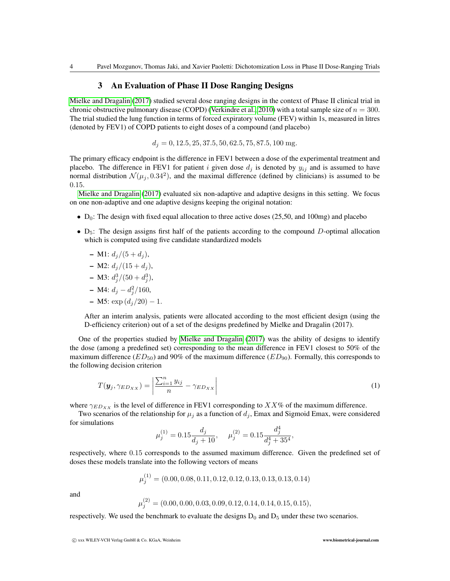## 3 An Evaluation of Phase II Dose Ranging Designs

[Mielke and Dragalin](#page-13-12) [\(2017\)](#page-13-12) studied several dose ranging designs in the context of Phase II clinical trial in chronic obstructive pulmonary disease (COPD) [\(Verkindre et al., 2010\)](#page-13-0) with a total sample size of  $n = 300$ . The trial studied the lung function in terms of forced expiratory volume (FEV) within 1s, measured in litres (denoted by FEV1) of COPD patients to eight doses of a compound (and placebo)

 $d_i = 0, 12.5, 25, 37.5, 50, 62.5, 75, 87.5, 100$  mg

The primary efficacy endpoint is the difference in FEV1 between a dose of the experimental treatment and placebo. The difference in FEV1 for patient i given dose  $d_i$  is denoted by  $y_{ij}$  and is assumed to have normal distribution  $\mathcal{N}(\mu_j, 0.34^2)$ , and the maximal difference (defined by clinicians) is assumed to be 0.15.

[Mielke and Dragalin](#page-13-12) [\(2017\)](#page-13-12) evaluated six non-adaptive and adaptive designs in this setting. We focus on one non-adaptive and one adaptive designs keeping the original notation:

- $D_0$ : The design with fixed equal allocation to three active doses (25,50, and 100mg) and placebo
- $D_5$ : The design assigns first half of the patients according to the compound D-optimal allocation which is computed using five candidate standardized models

$$
- M1: d_j/(5+d_j),
$$

$$
- M2: d_j/(15 + d_j),
$$

$$
- M3: d_j^3/(50 + d_j^3),
$$

$$
- M4: d_j - d_j^2/160,
$$

- M5: 
$$
\exp{(d_j/20)} - 1
$$
.

After an interim analysis, patients were allocated according to the most efficient design (using the D-efficiency criterion) out of a set of the designs predefined by Mielke and Dragalin (2017).

One of the properties studied by [Mielke and Dragalin](#page-13-12) [\(2017\)](#page-13-12) was the ability of designs to identify the dose (among a predefined set) corresponding to the mean difference in FEV1 closest to 50% of the maximum difference  $(ED_{50})$  and 90% of the maximum difference  $(ED_{90})$ . Formally, this corresponds to the following decision criterion

$$
T(\boldsymbol{y}_j, \gamma_{ED_{XX}}) = \left| \frac{\sum_{i=1}^n y_{ij}}{n} - \gamma_{ED_{XX}} \right| \tag{1}
$$

where  $\gamma_{EDXX}$  is the level of difference in FEV1 corresponding to XX% of the maximum difference.

Two scenarios of the relationship for  $\mu_j$  as a function of  $d_j$ , Emax and Sigmoid Emax, were considered for simulations

<span id="page-3-0"></span>
$$
\mu_j^{(1)}=0.15\frac{d_j}{d_j+10},\quad \, \mu_j^{(2)}=0.15\frac{d_j^4}{d_j^4+35^4},
$$

respectively, where 0.15 corresponds to the assumed maximum difference. Given the predefined set of doses these models translate into the following vectors of means

$$
\mu_j^{(1)} = (0.00, 0.08, 0.11, 0.12, 0.12, 0.13, 0.13, 0.13, 0.14)
$$

and

$$
\mu_j^{(2)}=(0.00, 0.00, 0.03, 0.09, 0.12, 0.14, 0.14, 0.15, 0.15),
$$

respectively. We used the benchmark to evaluate the designs  $D_0$  and  $D_5$  under these two scenarios.

 $(1)$ 

 $(2)$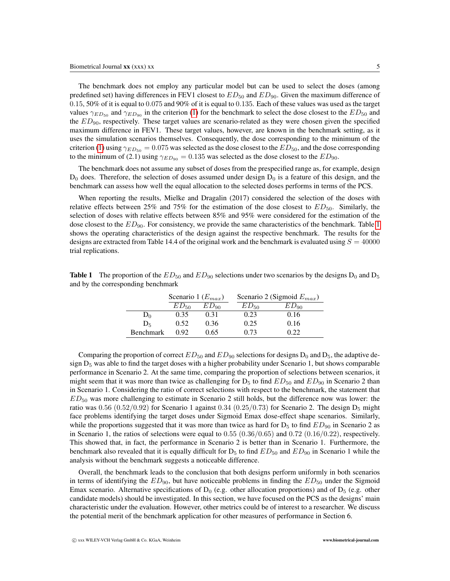The benchmark does not employ any particular model but can be used to select the doses (among predefined set) having differences in FEV1 closest to  $ED_{50}$  and  $ED_{90}$ . Given the maximum difference of 0.15, 50% of it is equal to 0.075 and 90% of it is equal to 0.135. Each of these values was used as the target values  $\gamma_{ED_{50}}$  and  $\gamma_{ED_{90}}$  in the criterion [\(1\)](#page-3-0) for the benchmark to select the dose closest to the  $ED_{50}$  and the  $ED_{90}$ , respectively. These target values are scenario-related as they were chosen given the specified maximum difference in FEV1. These target values, however, are known in the benchmark setting, as it uses the simulation scenarios themselves. Consequently, the dose corresponding to the minimum of the criterion [\(1\)](#page-3-0) using  $\gamma_{ED_{50}} = 0.075$  was selected as the dose closest to the  $ED_{50}$ , and the dose corresponding to the minimum of (2.1) using  $\gamma_{ED_{90}} = 0.135$  was selected as the dose closest to the  $ED_{90}$ .

The benchmark does not assume any subset of doses from the prespecified range as, for example, design  $D_0$  does. Therefore, the selection of doses assumed under design  $D_0$  is a feature of this design, and the benchmark can assess how well the equal allocation to the selected doses performs in terms of the PCS.

When reporting the results, Mielke and Dragalin (2017) considered the selection of the doses with relative effects between 25% and 75% for the estimation of the dose closest to  $ED_{50}$ . Similarly, the selection of doses with relative effects between 85% and 95% were considered for the estimation of the dose closest to the  $ED_{90}$ . For consistency, we provide the same characteristics of the benchmark. Table [1](#page-4-0) shows the operating characteristics of the design against the respective benchmark. The results for the designs are extracted from Table 14.4 of the original work and the benchmark is evaluated using  $S = 40000$ trial replications.

<span id="page-4-0"></span>

| <b>Table 1</b> The proportion of the $ED_{50}$ and $ED_{90}$ selections under two scenarios by the designs $D_0$ and $D_5$ |  |  |
|----------------------------------------------------------------------------------------------------------------------------|--|--|
| and by the corresponding benchmark                                                                                         |  |  |

|                  | Scenario 1 $(E_{max})$ |         | Scenario 2 (Sigmoid $E_{max}$ ) |           |  |  |
|------------------|------------------------|---------|---------------------------------|-----------|--|--|
|                  | $ED_{50}$              | $ED$ 90 | $ED_{50}$                       | $ED_{90}$ |  |  |
| $D_0$            | 0.35                   | 0.31    | 0.23                            | 0.16      |  |  |
| D <sub>5</sub>   | 0.52                   | 0.36    | 0.25                            | 0.16      |  |  |
| <b>Benchmark</b> | 0.92                   | 0.65    | 0.73                            | 0.22      |  |  |

Comparing the proportion of correct  $ED_{50}$  and  $ED_{90}$  selections for designs  $D_0$  and  $D_5$ , the adaptive design  $D_5$  was able to find the target doses with a higher probability under Scenario 1, but shows comparable performance in Scenario 2. At the same time, comparing the proportion of selections between scenarios, it might seem that it was more than twice as challenging for  $D_5$  to find  $ED_{50}$  and  $ED_{90}$  in Scenario 2 than in Scenario 1. Considering the ratio of correct selections with respect to the benchmark, the statement that  $ED_{50}$  was more challenging to estimate in Scenario 2 still holds, but the difference now was lower: the ratio was 0.56 (0.52/0.92) for Scenario 1 against 0.34 (0.25/0.73) for Scenario 2. The design  $D_5$  might face problems identifying the target doses under Sigmoid Emax dose-effect shape scenarios. Similarly, while the proportions suggested that it was more than twice as hard for  $D_5$  to find  $ED_{90}$  in Scenario 2 as in Scenario 1, the ratios of selections were equal to  $0.55 (0.36/0.65)$  and  $0.72 (0.16/0.22)$ , respectively. This showed that, in fact, the performance in Scenario 2 is better than in Scenario 1. Furthermore, the benchmark also revealed that it is equally difficult for  $D_5$  to find  $ED_{50}$  and  $ED_{90}$  in Scenario 1 while the analysis without the benchmark suggests a noticeable difference.

Overall, the benchmark leads to the conclusion that both designs perform uniformly in both scenarios in terms of identifying the  $ED_{90}$ , but have noticeable problems in finding the  $ED_{50}$  under the Sigmoid Emax scenario. Alternative specifications of  $D_0$  (e.g. other allocation proportions) and of  $D_5$  (e.g. other candidate models) should be investigated. In this section, we have focused on the PCS as the designs' main characteristic under the evaluation. However, other metrics could be of interest to a researcher. We discuss the potential merit of the benchmark application for other measures of performance in Section 6.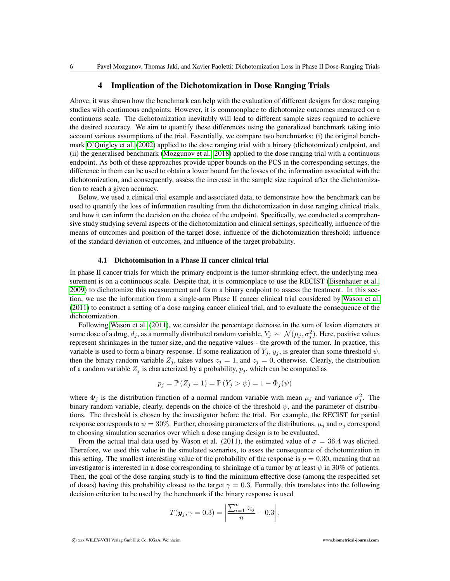## 4 Implication of the Dichotomization in Dose Ranging Trials

Above, it was shown how the benchmark can help with the evaluation of different designs for dose ranging studies with continuous endpoints. However, it is commonplace to dichotomize outcomes measured on a continuous scale. The dichotomization inevitably will lead to different sample sizes required to achieve the desired accuracy. We aim to quantify these differences using the generalized benchmark taking into account various assumptions of the trial. Essentially, we compare two benchmarks: (i) the original benchmark [O'Quigley et al.](#page-13-10) [\(2002\)](#page-13-10) applied to the dose ranging trial with a binary (dichotomized) endpoint, and (ii) the generalised benchmark [\(Mozgunov et al., 2018\)](#page-13-11) applied to the dose ranging trial with a continuous endpoint. As both of these approaches provide upper bounds on the PCS in the corresponding settings, the difference in them can be used to obtain a lower bound for the losses of the information associated with the dichotomization, and consequently, assess the increase in the sample size required after the dichotomization to reach a given accuracy.

Below, we used a clinical trial example and associated data, to demonstrate how the benchmark can be used to quantify the loss of information resulting from the dichotomization in dose ranging clinical trials, and how it can inform the decision on the choice of the endpoint. Specifically, we conducted a comprehensive study studying several aspects of the dichotomization and clinical settings, specifically, influence of the means of outcomes and position of the target dose; influence of the dichotomization threshold; influence of the standard deviation of outcomes, and influence of the target probability.

#### 4.1 Dichotomisation in a Phase II cancer clinical trial

In phase II cancer trials for which the primary endpoint is the tumor-shrinking effect, the underlying mea-surement is on a continuous scale. Despite that, it is commonplace to use the RECIST [\(Eisenhauer et al.,](#page-13-13) [2009\)](#page-13-13) to dichotomize this measurement and form a binary endpoint to assess the treatment. In this section, we use the information from a single-arm Phase II cancer clinical trial considered by [Wason et al.](#page-13-9) [\(2011\)](#page-13-9) to construct a setting of a dose ranging cancer clinical trial, and to evaluate the consequence of the dichotomization.

Following [Wason et al.](#page-13-9) [\(2011\)](#page-13-9), we consider the percentage decrease in the sum of lesion diameters at some dose of a drug,  $d_j$ , as a normally distributed random variable,  $Y_j \sim \mathcal{N}(\mu_j, \sigma_j^2)$ . Here, positive values represent shrinkages in the tumor size, and the negative values - the growth of the tumor. In practice, this variable is used to form a binary response. If some realization of  $Y_j$ ,  $y_j$ , is greater than some threshold  $\psi$ , then the binary random variable  $Z_j$ , takes values  $z_j = 1$ , and  $z_j = 0$ , otherwise. Clearly, the distribution of a random variable  $Z_j$  is characterized by a probability,  $p_j$ , which can be computed as

$$
p_j = \mathbb{P}\left(Z_j = 1\right) = \mathbb{P}\left(Y_j > \psi\right) = 1 - \Phi_j(\psi)
$$

where  $\Phi_j$  is the distribution function of a normal random variable with mean  $\mu_j$  and variance  $\sigma_j^2$ . The binary random variable, clearly, depends on the choice of the threshold  $\psi$ , and the parameter of distributions. The threshold is chosen by the investigator before the trial. For example, the RECIST for partial response corresponds to  $\psi = 30\%$ . Further, choosing parameters of the distributions,  $\mu_i$  and  $\sigma_i$  correspond to choosing simulation scenarios over which a dose ranging design is to be evaluated.

From the actual trial data used by Wason et al. (2011), the estimated value of  $\sigma = 36.4$  was elicited. Therefore, we used this value in the simulated scenarios, to asses the consequence of dichotomization in this setting. The smallest interesting value of the probability of the response is  $p = 0.30$ , meaning that an investigator is interested in a dose corresponding to shrinkage of a tumor by at least  $\psi$  in 30% of patients. Then, the goal of the dose ranging study is to find the minimum effective dose (among the respecified set of doses) having this probability closest to the target  $\gamma = 0.3$ . Formally, this translates into the following decision criterion to be used by the benchmark if the binary response is used

$$
T(\mathbf{y}_j, \gamma = 0.3) = \left| \frac{\sum_{i=1}^n z_{ij}}{n} - 0.3 \right|,
$$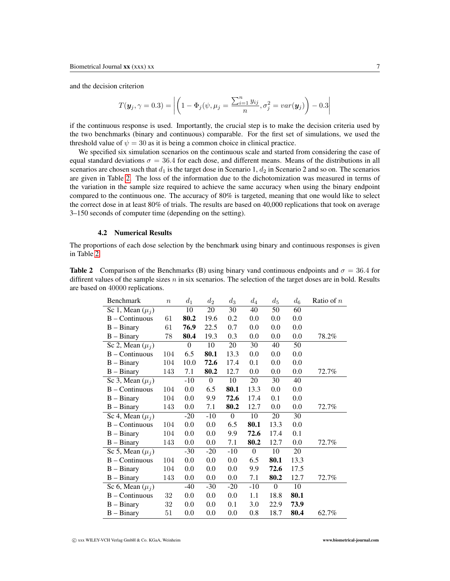and the decision criterion

$$
T(\mathbf{y}_j, \gamma = 0.3) = \left| \left( 1 - \Phi_j(\psi, \mu_j = \frac{\sum_{i=1}^n y_{ij}}{n}, \sigma_j^2 = var(\mathbf{y}_j) \right) - 0.3 \right|
$$

if the continuous response is used. Importantly, the crucial step is to make the decision criteria used by the two benchmarks (binary and continuous) comparable. For the first set of simulations, we used the threshold value of  $\psi = 30$  as it is being a common choice in clinical practice.

We specified six simulation scenarios on the continuous scale and started from considering the case of equal standard deviations  $\sigma = 36.4$  for each dose, and different means. Means of the distributions in all scenarios are chosen such that  $d_1$  is the target dose in Scenario 1,  $d_2$  in Scenario 2 and so on. The scenarios are given in Table [2.](#page-6-0) The loss of the information due to the dichotomization was measured in terms of the variation in the sample size required to achieve the same accuracy when using the binary endpoint compared to the continuous one. The accuracy of 80% is targeted, meaning that one would like to select the correct dose in at least 80% of trials. The results are based on 40,000 replications that took on average 3–150 seconds of computer time (depending on the setting).

#### 4.2 Numerical Results

The proportions of each dose selection by the benchmark using binary and continuous responses is given in Table [2.](#page-6-0)

<span id="page-6-0"></span>

| <b>Table 2</b> Comparison of the Benchmarks (B) using binary vand continuous endpoints and $\sigma = 36.4$ for    |  |  |  |
|-------------------------------------------------------------------------------------------------------------------|--|--|--|
| diffirent values of the sample sizes $n$ in six scenarios. The selection of the target doses are in bold. Results |  |  |  |
| are based on 40000 replications.                                                                                  |  |  |  |

| Benchmark                                | $\boldsymbol{n}$ | $d_1$            | $d_2$            | $d_3$            | $d_4$            | $d_5$          | $d_6$ | Ratio of $n$ |
|------------------------------------------|------------------|------------------|------------------|------------------|------------------|----------------|-------|--------------|
| Sc 1, Mean $(\mu_i)$                     |                  | 10               | 20               | 30               | 40               | 50             | 60    |              |
| $B$ – Continuous                         | $61\,$           | 80.2             | 19.6             | 0.2              | 0.0              | 0.0            | 0.0   |              |
| $B - Binary$                             | 61               | 76.9             | 22.5             | 0.7              | 0.0              | 0.0            | 0.0   |              |
| $B - Binary$                             | 78               | 80.4             | 19.3             | 0.3              | 0.0              | 0.0            | 0.0   | 78.2%        |
| Sc 2, Mean $(\mu_i)$                     |                  | $\boldsymbol{0}$ | 10               | 20               | 30               | 40             | 50    |              |
| $B$ – Continuous                         | 104              | 6.5              | 80.1             | 13.3             | 0.0              | 0.0            | 0.0   |              |
| $B - Binary$                             | 104              | 10.0             | 72.6             | 17.4             | 0.1              | 0.0            | 0.0   |              |
| $B - Binary$                             | 143              | 7.1              | 80.2             | 12.7             | 0.0              | 0.0            | 0.0   | 72.7%        |
| Sc 3, Mean $(\mu_i)$                     |                  | $-10$            | $\boldsymbol{0}$ | 10               | 20               | 30             | 40    |              |
| $B$ – Continuous                         | 104              | 0.0              | 6.5              | 80.1             | 13.3             | 0.0            | 0.0   |              |
| $B - Binary$                             | 104              | 0.0              | 9.9              | 72.6             | 17.4             | 0.1            | 0.0   |              |
| $B - Binary$                             | 143              | 0.0              | 7.1              | 80.2             | 12.7             | 0.0            | 0.0   | 72.7%        |
| $\overline{\text{Sc}}$ 4, Mean $(\mu_j)$ |                  | $-20$            | $-10$            | $\boldsymbol{0}$ | 10               | 20             | 30    |              |
| $B$ – Continuous                         | 104              | 0.0              | 0.0              | 6.5              | 80.1             | 13.3           | 0.0   |              |
| $B - Binary$                             | 104              | 0.0              | 0.0              | 9.9              | 72.6             | 17.4           | 0.1   |              |
| $B - Binary$                             | 143              | 0.0              | 0.0              | 7.1              | 80.2             | 12.7           | 0.0   | 72.7%        |
| Sc 5, Mean $(\mu_i)$                     |                  | $-30$            | $-20$            | $-10$            | $\boldsymbol{0}$ | 10             | 20    |              |
| $B$ – Continuous                         | 104              | 0.0              | 0.0              | 0.0              | 6.5              | 80.1           | 13.3  |              |
| $B - Binary$                             | 104              | 0.0              | 0.0              | 0.0              | 9.9              | 72.6           | 17.5  |              |
| $B - Binary$                             | 143              | 0.0              | 0.0              | 0.0              | 7.1              | 80.2           | 12.7  | 72.7%        |
| Sc 6, Mean $(\mu_i)$                     |                  | $-40$            | $-30$            | $-20$            | $-10$            | $\overline{0}$ | 10    |              |
| $B$ – Continuous                         | 32               | 0.0              | 0.0              | 0.0              | 1.1              | 18.8           | 80.1  |              |
| $B - Binary$                             | 32               | 0.0              | 0.0              | 0.1              | 3.0              | 22.9           | 73.9  |              |
| $B - Binary$                             | 51               | 0.0              | 0.0              | 0.0              | 0.8              | 18.7           | 80.4  | 62.7%        |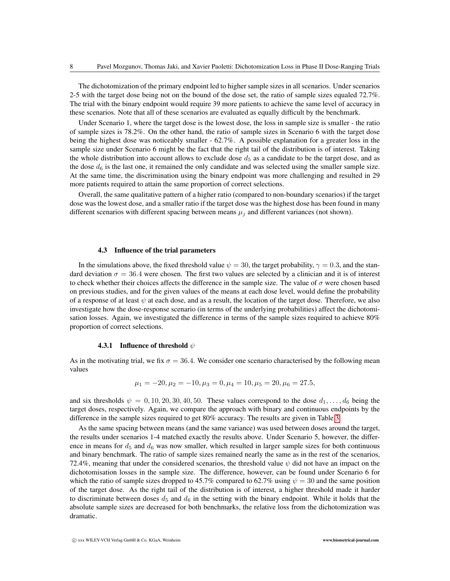The dichotomization of the primary endpoint led to higher sample sizes in all scenarios. Under scenarios 2-5 with the target dose being not on the bound of the dose set, the ratio of sample sizes equaled 72.7%. The trial with the binary endpoint would require 39 more patients to achieve the same level of accuracy in these scenarios. Note that all of these scenarios are evaluated as equally difficult by the benchmark.

Under Scenario 1, where the target dose is the lowest dose, the loss in sample size is smaller - the ratio of sample sizes is 78.2%. On the other hand, the ratio of sample sizes in Scenario 6 with the target dose being the highest dose was noticeably smaller - 62.7%. A possible explanation for a greater loss in the sample size under Scenario 6 might be the fact that the right tail of the distribution is of interest. Taking the whole distribution into account allows to exclude dose  $d_5$  as a candidate to be the target dose, and as the dose  $d_6$  is the last one, it remained the only candidate and was selected using the smaller sample size. At the same time, the discrimination using the binary endpoint was more challenging and resulted in 29 more patients required to attain the same proportion of correct selections.

Overall, the same qualitative pattern of a higher ratio (compared to non-boundary scenarios) if the target dose was the lowest dose, and a smaller ratio if the target dose was the highest dose has been found in many different scenarios with different spacing between means  $\mu_i$  and different variances (not shown).

#### 4.3 Influence of the trial parameters

In the simulations above, the fixed threshold value  $\psi = 30$ , the target probability,  $\gamma = 0.3$ , and the standard deviation  $\sigma = 36.4$  were chosen. The first two values are selected by a clinician and it is of interest to check whether their choices affects the difference in the sample size. The value of  $\sigma$  were chosen based on previous studies, and for the given values of the means at each dose level, would define the probability of a response of at least  $\psi$  at each dose, and as a result, the location of the target dose. Therefore, we also investigate how the dose-response scenario (in terms of the underlying probabilities) affect the dichotomisation losses. Again, we investigated the difference in terms of the sample sizes required to achieve 80% proportion of correct selections.

#### **4.3.1** Influence of threshold  $\psi$

As in the motivating trial, we fix  $\sigma = 36.4$ . We consider one scenario characterised by the following mean values

$$
\mu_1 = -20, \mu_2 = -10, \mu_3 = 0, \mu_4 = 10, \mu_5 = 20, \mu_6 = 27.5,
$$

and six thresholds  $\psi = 0, 10, 20, 30, 40, 50$ . These values correspond to the dose  $d_1, \ldots, d_6$  being the target doses, respectively. Again, we compare the approach with binary and continuous endpoints by the difference in the sample sizes required to get 80% accuracy. The results are given in Table [3.](#page-8-0)

As the same spacing between means (and the same variance) was used between doses around the target, the results under scenarios 1-4 matched exactly the results above. Under Scenario 5, however, the difference in means for  $d_5$  and  $d_6$  was now smaller, which resulted in larger sample sizes for both continuous and binary benchmark. The ratio of sample sizes remained nearly the same as in the rest of the scenarios, 72.4%, meaning that under the considered scenarios, the threshold value  $\psi$  did not have an impact on the dichotomisation losses in the sample size. The difference, however, can be found under Scenario 6 for which the ratio of sample sizes dropped to 45.7% compared to 62.7% using  $\psi = 30$  and the same position of the target dose. As the right tail of the distribution is of interest, a higher threshold made it harder to discriminate between doses  $d_5$  and  $d_6$  in the setting with the binary endpoint. While it holds that the absolute sample sizes are decreased for both benchmarks, the relative loss from the dichotomization was dramatic.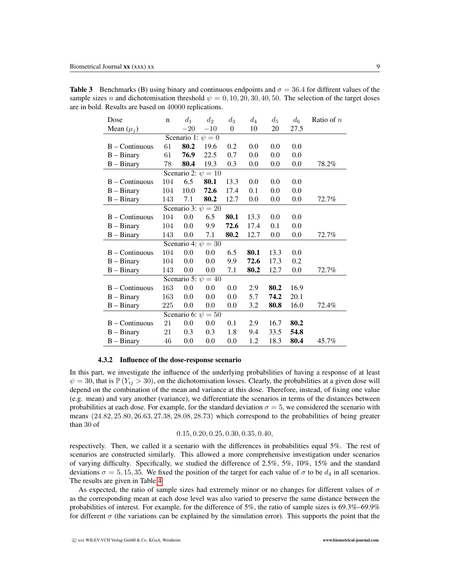<span id="page-8-0"></span>**Table 3** Benchmarks (B) using binary and continuous endpoints and  $\sigma = 36.4$  for diffirent values of the sample sizes n and dichotomisation threshold  $\psi = 0, 10, 20, 30, 40, 50$ . The selection of the target doses are in bold. Results are based on 40000 replications.

| Dose             | $\mathbf n$ | $d_1$                  | $d_2$                   | $d_3$    | $d_4$ | $d_5$ | $d_6$ | Ratio of $n$ |
|------------------|-------------|------------------------|-------------------------|----------|-------|-------|-------|--------------|
| Mean $(\mu_j)$   |             | $-20$                  | $-10$                   | $\theta$ | 10    | 20    | 27.5  |              |
|                  |             | Scenario 1: $\psi = 0$ |                         |          |       |       |       |              |
| $B -$ Continuous | 61          | 80.2                   | 19.6                    | 0.2      | 0.0   | 0.0   | 0.0   |              |
| $B - Binary$     | 61          | 76.9                   | 22.5                    | 0.7      | 0.0   | 0.0   | 0.0   |              |
| $B - Binary$     | 78          | 80.4                   | 19.3                    | 0.3      | 0.0   | 0.0   | 0.0   | 78.2%        |
|                  |             |                        | Scenario 2: $\psi = 10$ |          |       |       |       |              |
| $B -$ Continuous | 104         | 6.5                    | 80.1                    | 13.3     | 0.0   | 0.0   | 0.0   |              |
| $B - Binary$     | 104         | 10.0                   | 72.6                    | 17.4     | 0.1   | 0.0   | 0.0   |              |
| $B - Binary$     | 143         | 7.1                    | 80.2                    | 12.7     | 0.0   | 0.0   | 0.0   | 72.7%        |
|                  |             |                        | Scenario 3: $\psi = 20$ |          |       |       |       |              |
| $B -$ Continuous | 104         | 0.0                    | 6.5                     | 80.1     | 13.3  | 0.0   | 0.0   |              |
| $B - Binary$     | 104         | 0.0                    | 9.9                     | 72.6     | 17.4  | 0.1   | 0.0   |              |
| $B - Binary$     | 143         | 0.0                    | 7.1                     | 80.2     | 12.7  | 0.0   | 0.0   | 72.7%        |
|                  |             |                        | Scenario 4: $\psi = 30$ |          |       |       |       |              |
| $B -$ Continuous | 104         | 0.0                    | 0.0                     | 6.5      | 80.1  | 13.3  | 0.0   |              |
| $B - Binary$     | 104         | 0.0                    | 0.0                     | 9.9      | 72.6  | 17.3  | 0.2   |              |
| $B - Binary$     | 143         | 0.0                    | 0.0                     | 7.1      | 80.2  | 12.7  | 0.0   | 72.7%        |
|                  |             |                        | Scenario 5: $\psi = 40$ |          |       |       |       |              |
| $B -$ Continuous | 163         | 0.0                    | 0.0                     | 0.0      | 2.9   | 80.2  | 16.9  |              |
| $B - Binary$     | 163         | 0.0                    | 0.0                     | 0.0      | 5.7   | 74.2  | 20.1  |              |
| $B - Binary$     | 225         | 0.0                    | 0.0                     | 0.0      | 3.2   | 80.8  | 16.0  | 72.4%        |
|                  |             |                        | Scenario 6: $\psi = 50$ |          |       |       |       |              |
| $B -$ Continuous | 21          | 0.0                    | 0.0                     | 0.1      | 2.9   | 16.7  | 80.2  |              |
| $B - Binary$     | 21          | 0.3                    | 0.3                     | 1.8      | 9.4   | 33.5  | 54.8  |              |
| $B - Binary$     | 46          | 0.0                    | 0.0                     | 0.0      | 1.2   | 18.3  | 80.4  | 45.7%        |

#### 4.3.2 Influence of the dose-response scenario

In this part, we investigate the influence of the underlying probabilities of having a response of at least  $\psi = 30$ , that is  $\mathbb{P}(Y_{ij} > 30)$ , on the dichotomisation losses. Clearly, the probabilities at a given dose will depend on the combination of the mean and variance at this dose. Therefore, instead, of fixing one value (e.g. mean) and vary another (variance), we differentiate the scenarios in terms of the distances between probabilities at each dose. For example, for the standard deviation  $\sigma = 5$ , we considered the scenario with means (24.82, 25.80, 26.63, 27.38, 28.08, 28.73) which correspond to the probabilities of being greater than 30 of

#### 0.15, 0.20, 0.25, 0.30, 0.35, 0.40,

respectively. Then, we called it a scenario with the differences in probabilities equal 5%. The rest of scenarios are constructed similarly. This allowed a more comprehensive investigation under scenarios of varying difficulty. Specifically, we studied the difference of 2.5%, 5%, 10%, 15% and the standard deviations  $\sigma = 5, 15, 35$ . We fixed the position of the target for each value of  $\sigma$  to be  $d_4$  in all scenarios. The results are given in Table [4](#page-9-0)

As expected, the ratio of sample sizes had extremely minor or no changes for different values of  $\sigma$ as the corresponding mean at each dose level was also varied to preserve the same distance between the probabilities of interest. For example, for the difference of 5%, the ratio of sample sizes is 69.3%–69.9% for different  $\sigma$  (the variations can be explained by the simulation error). This supports the point that the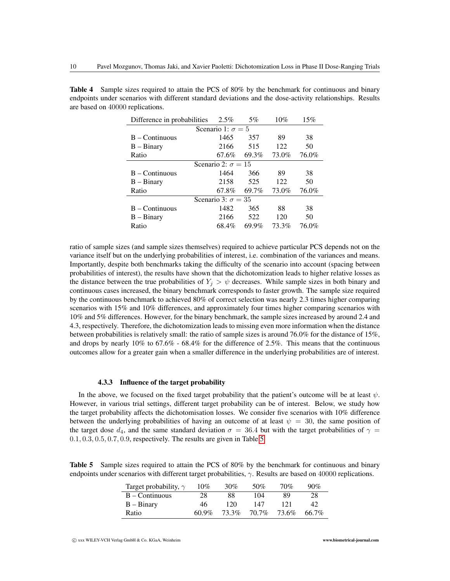<span id="page-9-0"></span>Table 4 Sample sizes required to attain the PCS of 80% by the benchmark for continuous and binary endpoints under scenarios with different standard deviations and the dose-activity relationships. Results are based on 40000 replications.

| Difference in probabilities | 2.5%  | 5%    | 10%   | 15%   |  |  |  |  |
|-----------------------------|-------|-------|-------|-------|--|--|--|--|
| Scenario 1: $\sigma = 5$    |       |       |       |       |  |  |  |  |
| $B -$ Continuous            | 1465  | 357   | 89    | 38    |  |  |  |  |
| $B - Binary$                | 2166  | 515   | 122   | 50    |  |  |  |  |
| Ratio                       | 67.6% | 69.3% | 73.0% | 76.0% |  |  |  |  |
| Scenario 2: $\sigma = 15$   |       |       |       |       |  |  |  |  |
| $B -$ Continuous            | 1464  | 366   | 89    | 38    |  |  |  |  |
| $B - Binary$                | 2158  | 525   | 122   | 50    |  |  |  |  |
| Ratio                       | 67.8% | 69.7% | 73.0% | 76.0% |  |  |  |  |
| Scenario 3: $\sigma = 35$   |       |       |       |       |  |  |  |  |
| $B -$ Continuous            | 1482  | 365   | 88    | 38    |  |  |  |  |
| $B - Binary$                | 2166  | 522   | 120   | 50    |  |  |  |  |
| Ratio                       | 68.4% | 69.9% | 73.3% | 76.0% |  |  |  |  |

ratio of sample sizes (and sample sizes themselves) required to achieve particular PCS depends not on the variance itself but on the underlying probabilities of interest, i.e. combination of the variances and means. Importantly, despite both benchmarks taking the difficulty of the scenario into account (spacing between probabilities of interest), the results have shown that the dichotomization leads to higher relative losses as the distance between the true probabilities of  $Y_j > \psi$  decreases. While sample sizes in both binary and continuous cases increased, the binary benchmark corresponds to faster growth. The sample size required by the continuous benchmark to achieved 80% of correct selection was nearly 2.3 times higher comparing scenarios with 15% and 10% differences, and approximately four times higher comparing scenarios with 10% and 5% differences. However, for the binary benchmark, the sample sizes increased by around 2.4 and 4.3, respectively. Therefore, the dichotomization leads to missing even more information when the distance between probabilities is relatively small: the ratio of sample sizes is around 76.0% for the distance of 15%, and drops by nearly 10% to 67.6% - 68.4% for the difference of 2.5%. This means that the continuous outcomes allow for a greater gain when a smaller difference in the underlying probabilities are of interest.

#### 4.3.3 Influence of the target probability

In the above, we focused on the fixed target probability that the patient's outcome will be at least  $\psi$ . However, in various trial settings, different target probability can be of interest. Below, we study how the target probability affects the dichotomisation losses. We consider five scenarios with 10% difference between the underlying probabilities of having an outcome of at least  $\psi = 30$ , the same position of the target dose  $d_4$ , and the same standard deviation  $\sigma = 36.4$  but with the target probabilities of  $\gamma =$ 0.1, 0.3, 0.5, 0.7, 0.9, respectively. The results are given in Table [5.](#page-9-1)

Table 5 Sample sizes required to attain the PCS of 80% by the benchmark for continuous and binary endpoints under scenarios with different target probabilities,  $\gamma$ . Results are based on 40000 replications.

<span id="page-9-1"></span>

| Target probability, $\gamma$ | 10%  | 30%   | 50%      | 70%   | 90%   |
|------------------------------|------|-------|----------|-------|-------|
| $B -$ Continuous             | 28   | 88    | 104      | 89    | 28    |
| $B - Binary$                 | 46   | 120   | 147      | 121   | 42    |
| Ratio                        | 609% | 73.3% | $70.7\%$ | 73.6% | 66.7% |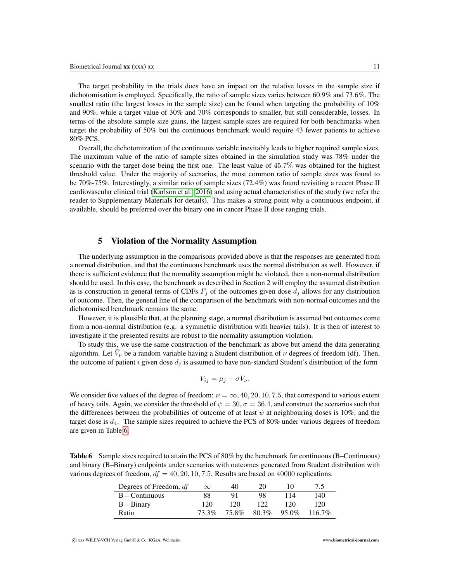The target probability in the trials does have an impact on the relative losses in the sample size if dichotomisation is employed. Specifically, the ratio of sample sizes varies between 60.9% and 73.6%. The smallest ratio (the largest losses in the sample size) can be found when targeting the probability of 10% and 90%, while a target value of 30% and 70% corresponds to smaller, but still considerable, losses. In terms of the absolute sample size gains, the largest sample sizes are required for both benchmarks when target the probability of 50% but the continuous benchmark would require 43 fewer patients to achieve 80% PCS.

Overall, the dichotomization of the continuous variable inevitably leads to higher required sample sizes. The maximum value of the ratio of sample sizes obtained in the simulation study was 78% under the scenario with the target dose being the first one. The least value of 45.7% was obtained for the highest threshold value. Under the majority of scenarios, the most common ratio of sample sizes was found to be 70%-75%. Interestingly, a similar ratio of sample sizes (72.4%) was found revisiting a recent Phase II cardiovascular clinical trial [\(Karlson et al., 2016\)](#page-13-1) and using actual characteristics of the study (we refer the reader to Supplementary Materials for details). This makes a strong point why a continuous endpoint, if available, should be preferred over the binary one in cancer Phase II dose ranging trials.

## 5 Violation of the Normality Assumption

The underlying assumption in the comparisons provided above is that the responses are generated from a normal distribution, and that the continuous benchmark uses the normal distribution as well. However, if there is sufficient evidence that the normality assumption might be violated, then a non-normal distribution should be used. In this case, the benchmark as described in Section 2 will employ the assumed distribution as is construction in general terms of CDFs  $F_i$  of the outcomes given dose  $d_i$  allows for any distribution of outcome. Then, the general line of the comparison of the benchmark with non-normal outcomes and the dichotomised benchmark remains the same.

However, it is plausible that, at the planning stage, a normal distribution is assumed but outcomes come from a non-normal distribution (e.g. a symmetric distribution with heavier tails). It is then of interest to investigate if the presented results are robust to the normality assumption violation.

To study this, we use the same construction of the benchmark as above but amend the data generating algorithm. Let  $\bar{V}_{\nu}$  be a random variable having a Student distribution of  $\nu$  degrees of freedom (df). Then, the outcome of patient i given dose  $d_i$  is assumed to have non-standard Student's distribution of the form

$$
V_{ij} = \mu_j + \sigma \bar{V}_{\nu}.
$$

We consider five values of the degree of freedom:  $\nu = \infty$ , 40, 20, 10, 7.5, that correspond to various extent of heavy tails. Again, we consider the threshold of  $\psi = 30$ ,  $\sigma = 36.4$ , and construct the scenarios such that the differences between the probabilities of outcome of at least  $\psi$  at neighbouring doses is 10%, and the target dose is  $d_4$ . The sample sizes required to achieve the PCS of 80% under various degrees of freedom are given in Table [6.](#page-10-0)

<span id="page-10-0"></span>Table 6 Sample sizes required to attain the PCS of 80% by the benchmark for continuous (B–Continuous) and binary (B–Binary) endpoints under scenarios with outcomes generated from Student distribution with various degrees of freedom,  $df = 40, 20, 10, 7.5$ . Results are based on 40000 replications.

| Degrees of Freedom, df | $\infty$ | 40    | 20    | 10    | 7.5    |
|------------------------|----------|-------|-------|-------|--------|
| $B -$ Continuous       | 88       | Q1    | 98    | 114   | 140    |
| $B - Binary$           | 120      | 120   | 122   | 120   | 120    |
| Ratio                  | 73.3%    | 75.8% | 80.3% | 95.0% | 116.7% |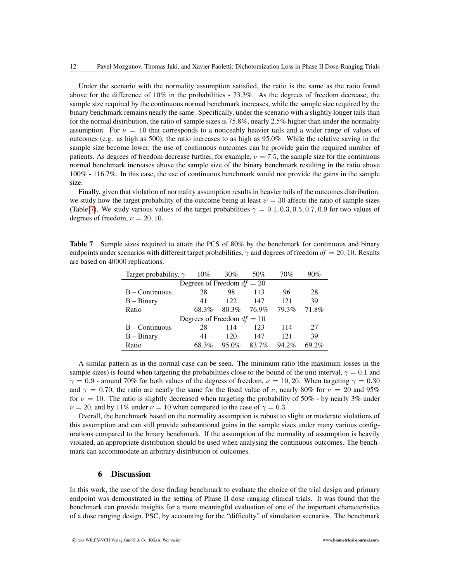Under the scenario with the normality assumption satisfied, the ratio is the same as the ratio found above for the difference of 10% in the probabilities - 73.3%. As the degrees of freedom decrease, the sample size required by the continuous normal benchmark increases, while the sample size required by the binary benchmark remains nearly the same. Specifically, under the scenario with a slightly longer tails than for the normal distribution, the ratio of sample sizes is 75.8%, nearly 2.5% higher than under the normality assumption. For  $\nu = 10$  that corresponds to a noticeably heavier tails and a wider range of values of outcomes (e.g. as high as 500), the ratio increases to as high as 95.0%. While the relative saving in the sample size become lower, the use of continuous outcomes can be provide gain the required number of patients. As degrees of freedom decrease further, for example,  $\nu = 7.5$ , the sample size for the continuous normal benchmark increases above the sample size of the binary benchmark resulting in the ratio above 100% - 116.7%. In this case, the use of continuous benchmark would not provide the gains in the sample size.

Finally, given that violation of normality assumption results in heavier tails of the outcomes distribution, we study how the target probability of the outcome being at least  $\psi = 30$  affects the ratio of sample sizes (Table [7\)](#page-11-0). We study various values of the target probabilities  $\gamma = 0.1, 0.3, 0.5, 0.7, 0.9$  for two values of degrees of freedom,  $\nu = 20, 10$ .

<span id="page-11-0"></span>

| <b>Table 7</b> Sample sizes required to attain the PCS of 80% by the benchmark for continuous and binary               |
|------------------------------------------------------------------------------------------------------------------------|
| endpoints under scenarios with different target probabilities, $\gamma$ and degrees of freedom $df = 20, 10$ . Results |
| are based on 40000 replications.                                                                                       |

| Target probability, $\gamma$ | $10\%$ | $30\%$ | 50%   | 70%   | 90%   |  |  |  |
|------------------------------|--------|--------|-------|-------|-------|--|--|--|
| Degrees of Freedom $df = 20$ |        |        |       |       |       |  |  |  |
| $B -$ Continuous             | 28     | 98     | 113   | 96    | 28    |  |  |  |
| $B - Binary$                 | 41     | 122    | 147   | 121   | 39    |  |  |  |
| Ratio                        | 68.3%  | 80.3%  | 76.9% | 79.3% | 71.8% |  |  |  |
| Degrees of Freedom $df = 10$ |        |        |       |       |       |  |  |  |
| $B -$ Continuous             | 28     | 114    | 123   | 114   | 27    |  |  |  |
| $B - Binary$                 | 41     | 120    | 147   | 121   | 39    |  |  |  |
| Ratio                        | 68.3%  | 95.0%  | 83.7% | 94.2% | 69.2% |  |  |  |

A similar pattern as in the normal case can be seen. The minimum ratio (the maximum losses in the sample sizes) is found when targeting the probabilities close to the bound of the unit interval,  $\gamma = 0.1$  and  $\gamma = 0.9$  - around 70% for both values of the degress of freedom,  $\nu = 10, 20$ . When targeting  $\gamma = 0.30$ and  $\gamma = 0.70$ , the ratio are nearly the same for the fixed value of  $\nu$ , nearly 80% for  $\nu = 20$  and 95% for  $\nu = 10$ . The ratio is slightly decreased when targeting the probability of 50% - by nearly 3% under  $\nu = 20$ , and by 11% under  $\nu = 10$  when compared to the case of  $\gamma = 0.3$ .

Overall, the benchmark based on the normality assumption is robust to slight or moderate violations of this assumption and can still provide substantional gains in the sample sizes under many various configurations compared to the binary benchmark. If the assumption of the normality of assumption is heavily violated, an appropriate distribution should be used when analysing the continuous outcomes. The benchmark can accommodate an arbitrary distribution of outcomes.

## 6 Discussion

In this work, the use of the dose finding benchmark to evaluate the choice of the trial design and primary endpoint was demonstrated in the setting of Phase II dose ranging clinical trials. It was found that the benchmark can provide insights for a more meaningful evaluation of one of the important characteristics of a dose ranging design, PSC, by accounting for the "difficulty" of simulation scenarios. The benchmark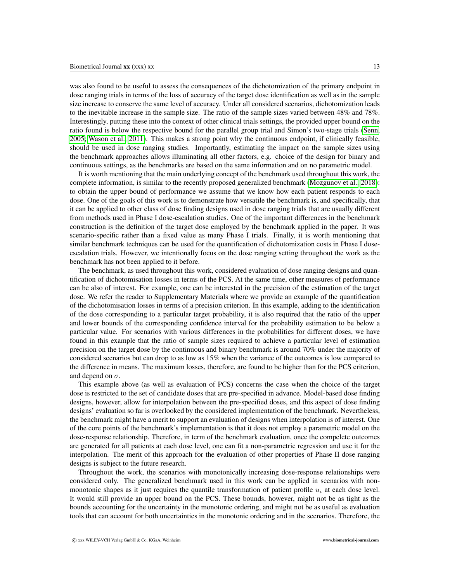was also found to be useful to assess the consequences of the dichotomization of the primary endpoint in dose ranging trials in terms of the loss of accuracy of the target dose identification as well as in the sample size increase to conserve the same level of accuracy. Under all considered scenarios, dichotomization leads to the inevitable increase in the sample size. The ratio of the sample sizes varied between 48% and 78%. Interestingly, putting these into the context of other clinical trials settings, the provided upper bound on the ratio found is below the respective bound for the parallel group trial and Simon's two-stage trials [\(Senn,](#page-13-6) [2005;](#page-13-6) [Wason et al., 2011\)](#page-13-9). This makes a strong point why the continuous endpoint, if clinically feasible, should be used in dose ranging studies. Importantly, estimating the impact on the sample sizes using the benchmark approaches allows illuminating all other factors, e.g. choice of the design for binary and continuous settings, as the benchmarks are based on the same information and on no parametric model.

It is worth mentioning that the main underlying concept of the benchmark used throughout this work, the complete information, is similar to the recently proposed generalized benchmark [\(Mozgunov et al., 2018\)](#page-13-11): to obtain the upper bound of performance we assume that we know how each patient responds to each dose. One of the goals of this work is to demonstrate how versatile the benchmark is, and specifically, that it can be applied to other class of dose finding designs used in dose ranging trials that are usually different from methods used in Phase I dose-escalation studies. One of the important differences in the benchmark construction is the definition of the target dose employed by the benchmark applied in the paper. It was scenario-specific rather than a fixed value as many Phase I trials. Finally, it is worth mentioning that similar benchmark techniques can be used for the quantification of dichotomization costs in Phase I doseescalation trials. However, we intentionally focus on the dose ranging setting throughout the work as the benchmark has not been applied to it before.

The benchmark, as used throughout this work, considered evaluation of dose ranging designs and quantification of dichotomisation losses in terms of the PCS. At the same time, other measures of performance can be also of interest. For example, one can be interested in the precision of the estimation of the target dose. We refer the reader to Supplementary Materials where we provide an example of the quantification of the dichotomisation losses in terms of a precision criterion. In this example, adding to the identification of the dose corresponding to a particular target probability, it is also required that the ratio of the upper and lower bounds of the corresponding confidence interval for the probability estimation to be below a particular value. For scenarios with various differences in the probabilities for different doses, we have found in this example that the ratio of sample sizes required to achieve a particular level of estimation precision on the target dose by the continuous and binary benchmark is around 70% under the majority of considered scenarios but can drop to as low as 15% when the variance of the outcomes is low compared to the difference in means. The maximum losses, therefore, are found to be higher than for the PCS criterion, and depend on  $\sigma$ .

This example above (as well as evaluation of PCS) concerns the case when the choice of the target dose is restricted to the set of candidate doses that are pre-specified in advance. Model-based dose finding designs, however, allow for interpolation between the pre-specified doses, and this aspect of dose finding designs' evaluation so far is overlooked by the considered implementation of the benchmark. Nevertheless, the benchmark might have a merit to support an evaluation of designs when interpolation is of interest. One of the core points of the benchmark's implementation is that it does not employ a parametric model on the dose-response relationship. Therefore, in term of the benchmark evaluation, once the compelete outcomes are generated for all patients at each dose level, one can fit a non-parametric regression and use it for the interpolation. The merit of this approach for the evaluation of other properties of Phase II dose ranging designs is subject to the future research.

Throughout the work, the scenarios with monotonically increasing dose-response relationships were considered only. The generalized benchmark used in this work can be applied in scenarios with nonmonotonic shapes as it just requires the quantile transformation of patient profile  $u_i$  at each dose level. It would still provide an upper bound on the PCS. These bounds, however, might not be as tight as the bounds accounting for the uncertainty in the monotonic ordering, and might not be as useful as evaluation tools that can account for both uncertainties in the monotonic ordering and in the scenarios. Therefore, the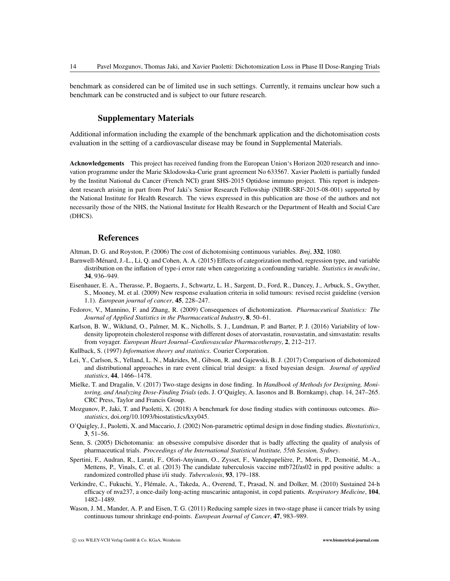benchmark as considered can be of limited use in such settings. Currently, it remains unclear how such a benchmark can be constructed and is subject to our future research.

## Supplementary Materials

Additional information including the example of the benchmark application and the dichotomisation costs evaluation in the setting of a cardiovascular disease may be found in Supplemental Materials.

Acknowledgements This project has received funding from the European Union's Horizon 2020 research and innovation programme under the Marie Sklodowska-Curie grant agreement No 633567. Xavier Paoletti is partially funded by the Institut National du Cancer (French NCI) grant SHS-2015 Optidose immuno project. This report is independent research arising in part from Prof Jaki's Senior Research Fellowship (NIHR-SRF-2015-08-001) supported by the National Institute for Health Research. The views expressed in this publication are those of the authors and not necessarily those of the NHS, the National Institute for Health Research or the Department of Health and Social Care (DHCS).

## References

<span id="page-13-3"></span>Altman, D. G. and Royston, P. (2006) The cost of dichotomising continuous variables. *Bmj*, 332, 1080.

- <span id="page-13-7"></span>Barnwell-Menard, J.-L., Li, Q. and Cohen, A. A. (2015) Effects of categorization method, regression type, and variable ´ distribution on the inflation of type-i error rate when categorizing a confounding variable. *Statistics in medicine*, 34, 936–949.
- <span id="page-13-13"></span>Eisenhauer, E. A., Therasse, P., Bogaerts, J., Schwartz, L. H., Sargent, D., Ford, R., Dancey, J., Arbuck, S., Gwyther, S., Mooney, M. et al. (2009) New response evaluation criteria in solid tumours: revised recist guideline (version 1.1). *European journal of cancer*, 45, 228–247.
- <span id="page-13-4"></span>Fedorov, V., Mannino, F. and Zhang, R. (2009) Consequences of dichotomization. *Pharmaceutical Statistics: The Journal of Applied Statistics in the Pharmaceutical Industry*, 8, 50–61.
- <span id="page-13-1"></span>Karlson, B. W., Wiklund, O., Palmer, M. K., Nicholls, S. J., Lundman, P. and Barter, P. J. (2016) Variability of lowdensity lipoprotein cholesterol response with different doses of atorvastatin, rosuvastatin, and simvastatin: results from voyager. *European Heart Journal–Cardiovascular Pharmacotherapy*, 2, 212–217.
- <span id="page-13-5"></span>Kullback, S. (1997) *Information theory and statistics*. Courier Corporation.
- <span id="page-13-8"></span>Lei, Y., Carlson, S., Yelland, L. N., Makrides, M., Gibson, R. and Gajewski, B. J. (2017) Comparison of dichotomized and distributional approaches in rare event clinical trial design: a fixed bayesian design. *Journal of applied statistics*, 44, 1466–1478.
- <span id="page-13-12"></span>Mielke, T. and Dragalin, V. (2017) Two-stage designs in dose finding. In *Handbook of Methods for Designing, Monitoring, and Analyzing Dose-Finding Trials* (eds. J. O'Quigley, A. Iasonos and B. Bornkamp), chap. 14, 247–265. CRC Press, Taylor and Francis Group.
- <span id="page-13-11"></span>Mozgunov, P., Jaki, T. and Paoletti, X. (2018) A benchmark for dose finding studies with continuous outcomes. *Biostatistics*, doi.org/10.1093/biostatistics/kxy045.
- <span id="page-13-10"></span>O'Quigley, J., Paoletti, X. and Maccario, J. (2002) Non-parametric optimal design in dose finding studies. *Biostatistics*, 3, 51–56.
- <span id="page-13-6"></span>Senn, S. (2005) Dichotomania: an obsessive compulsive disorder that is badly affecting the quality of analysis of pharmaceutical trials. *Proceedings of the International Statistical Institute, 55th Session, Sydney*.
- <span id="page-13-2"></span>Spertini, F., Audran, R., Lurati, F., Ofori-Anyinam, O., Zysset, F., Vandepapelière, P., Moris, P., Demoitié, M.-A., Mettens, P., Vinals, C. et al. (2013) The candidate tuberculosis vaccine mtb72f/as02 in ppd positive adults: a randomized controlled phase i/ii study. *Tuberculosis*, 93, 179–188.
- <span id="page-13-0"></span>Verkindre, C., Fukuchi, Y., Flemale, A., Takeda, A., Overend, T., Prasad, N. and Dolker, M. (2010) Sustained 24-h ´ efficacy of nva237, a once-daily long-acting muscarinic antagonist, in copd patients. *Respiratory Medicine*, 104, 1482–1489.
- <span id="page-13-9"></span>Wason, J. M., Mander, A. P. and Eisen, T. G. (2011) Reducing sample sizes in two-stage phase ii cancer trials by using continuous tumour shrinkage end-points. *European Journal of Cancer*, 47, 983–989.